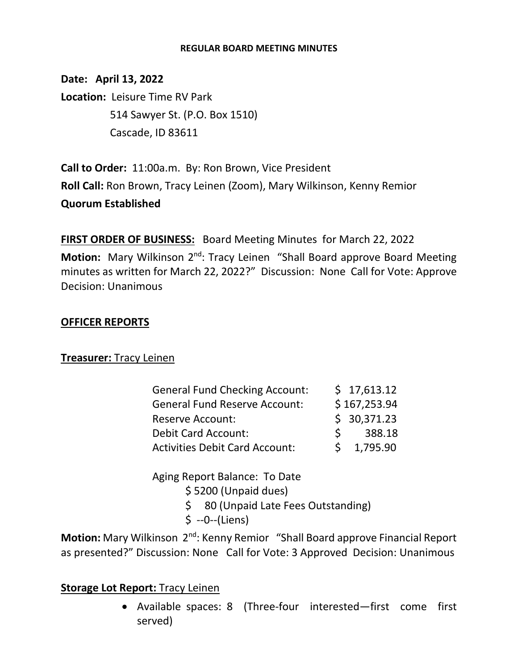#### **REGULAR BOARD MEETING MINUTES**

**Date: April 13, 2022 Location:** Leisure Time RV Park 514 Sawyer St. (P.O. Box 1510) Cascade, ID 83611

**Call to Order:** 11:00a.m. By: Ron Brown, Vice President **Roll Call:** Ron Brown, Tracy Leinen (Zoom), Mary Wilkinson, Kenny Remior **Quorum Established**

**FIRST ORDER OF BUSINESS:** Board Meeting Minutes for March 22, 2022 Motion: Mary Wilkinson 2<sup>nd</sup>: Tracy Leinen "Shall Board approve Board Meeting minutes as written for March 22, 2022?" Discussion: None Call for Vote: Approve Decision: Unanimous

## **OFFICER REPORTS**

## **Treasurer:** Tracy Leinen

| <b>General Fund Checking Account:</b> |             | \$17,613.12  |
|---------------------------------------|-------------|--------------|
| <b>General Fund Reserve Account:</b>  |             | \$167,253.94 |
| <b>Reserve Account:</b>               |             | \$30,371.23  |
| <b>Debit Card Account:</b>            | $\varsigma$ | 388.18       |
| <b>Activities Debit Card Account:</b> |             | 1,795.90     |

Aging Report Balance: To Date \$ 5200 (Unpaid dues) \$ 80 (Unpaid Late Fees Outstanding)

\$ --0--(Liens)

Motion: Mary Wilkinson 2<sup>nd</sup>: Kenny Remior "Shall Board approve Financial Report as presented?" Discussion: None Call for Vote: 3 Approved Decision: Unanimous

## **Storage Lot Report:** Tracy Leinen

• Available spaces: 8 (Three-four interested—first come first served)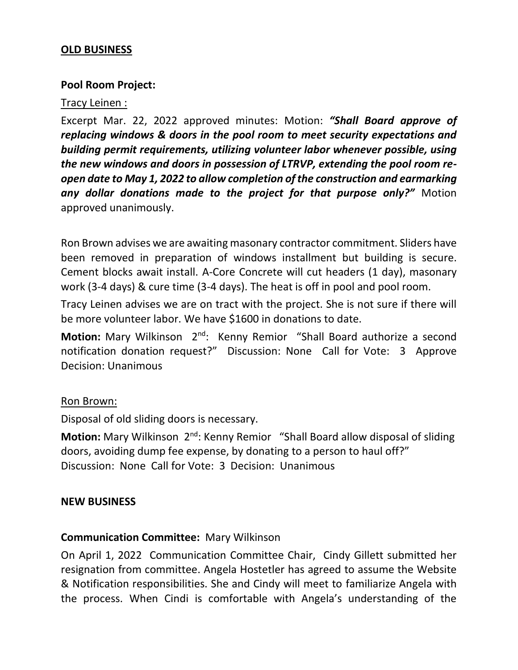## **OLD BUSINESS**

## **Pool Room Project:**

### Tracy Leinen :

Excerpt Mar. 22, 2022 approved minutes: Motion: *"Shall Board approve of replacing windows & doors in the pool room to meet security expectations and building permit requirements, utilizing volunteer labor whenever possible, using the new windows and doors in possession of LTRVP, extending the pool room reopen date to May 1, 2022 to allow completion of the construction and earmarking any dollar donations made to the project for that purpose only?"* Motion approved unanimously.

Ron Brown advises we are awaiting masonary contractor commitment. Sliders have been removed in preparation of windows installment but building is secure. Cement blocks await install. A-Core Concrete will cut headers (1 day), masonary work (3-4 days) & cure time (3-4 days). The heat is off in pool and pool room.

Tracy Leinen advises we are on tract with the project. She is not sure if there will be more volunteer labor. We have \$1600 in donations to date.

**Motion:** Mary Wilkinson 2<sup>nd</sup>: Kenny Remior "Shall Board authorize a second notification donation request?" Discussion: None Call for Vote: 3 Approve Decision: Unanimous

#### Ron Brown:

Disposal of old sliding doors is necessary.

Motion: Mary Wilkinson 2<sup>nd</sup>: Kenny Remior "Shall Board allow disposal of sliding doors, avoiding dump fee expense, by donating to a person to haul off?" Discussion: None Call for Vote: 3 Decision: Unanimous

#### **NEW BUSINESS**

#### **Communication Committee:** Mary Wilkinson

On April 1, 2022 Communication Committee Chair, Cindy Gillett submitted her resignation from committee. Angela Hostetler has agreed to assume the Website & Notification responsibilities. She and Cindy will meet to familiarize Angela with the process. When Cindi is comfortable with Angela's understanding of the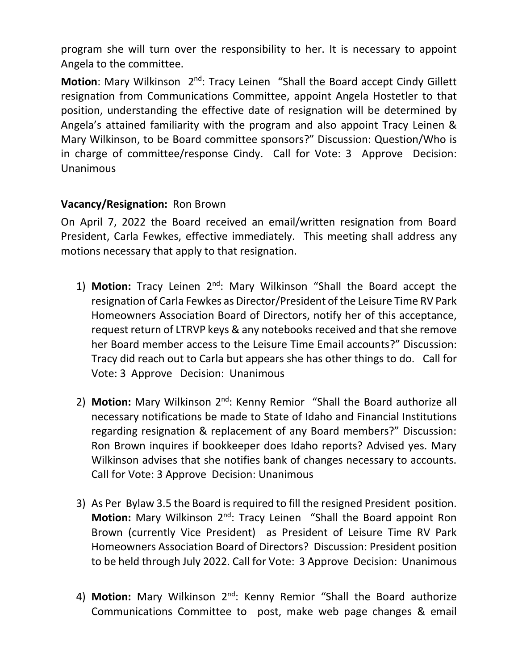program she will turn over the responsibility to her. It is necessary to appoint Angela to the committee.

Motion: Mary Wilkinson 2<sup>nd</sup>: Tracy Leinen "Shall the Board accept Cindy Gillett resignation from Communications Committee, appoint Angela Hostetler to that position, understanding the effective date of resignation will be determined by Angela's attained familiarity with the program and also appoint Tracy Leinen & Mary Wilkinson, to be Board committee sponsors?" Discussion: Question/Who is in charge of committee/response Cindy. Call for Vote: 3 Approve Decision: Unanimous

# **Vacancy/Resignation:** Ron Brown

On April 7, 2022 the Board received an email/written resignation from Board President, Carla Fewkes, effective immediately. This meeting shall address any motions necessary that apply to that resignation.

- 1) Motion: Tracy Leinen 2<sup>nd</sup>: Mary Wilkinson "Shall the Board accept the resignation of Carla Fewkes as Director/President of the Leisure Time RV Park Homeowners Association Board of Directors, notify her of this acceptance, request return of LTRVP keys & any notebooks received and that she remove her Board member access to the Leisure Time Email accounts?" Discussion: Tracy did reach out to Carla but appears she has other things to do. Call for Vote: 3 Approve Decision: Unanimous
- 2) **Motion:** Mary Wilkinson 2<sup>nd</sup>: Kenny Remior "Shall the Board authorize all necessary notifications be made to State of Idaho and Financial Institutions regarding resignation & replacement of any Board members?" Discussion: Ron Brown inquires if bookkeeper does Idaho reports? Advised yes. Mary Wilkinson advises that she notifies bank of changes necessary to accounts. Call for Vote: 3 Approve Decision: Unanimous
- 3) As Per Bylaw 3.5 the Board is required to fill the resigned President position. Motion: Mary Wilkinson 2<sup>nd</sup>: Tracy Leinen "Shall the Board appoint Ron Brown (currently Vice President) as President of Leisure Time RV Park Homeowners Association Board of Directors? Discussion: President position to be held through July 2022. Call for Vote: 3 Approve Decision: Unanimous
- 4) Motion: Mary Wilkinson 2<sup>nd</sup>: Kenny Remior "Shall the Board authorize Communications Committee to post, make web page changes & email